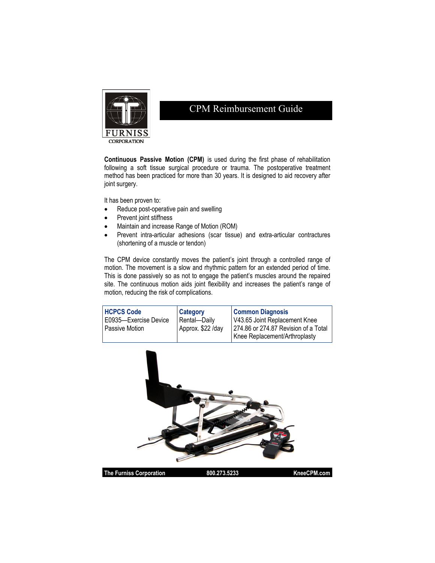

## CPM Reimbursement Guide

**Continuous Passive Motion (CPM)** is used during the first phase of rehabilitation following a soft tissue surgical procedure or trauma. The postoperative treatment method has been practiced for more than 30 years. It is designed to aid recovery after joint surgery.

It has been proven to:

- Reduce post-operative pain and swelling
- Prevent joint stiffness
- Maintain and increase Range of Motion (ROM)
- Prevent intra-articular adhesions (scar tissue) and extra-articular contractures (shortening of a muscle or tendon)

The CPM device constantly moves the patient's joint through a controlled range of motion. The movement is a slow and rhythmic pattern for an extended period of time. This is done passively so as not to engage the patient's muscles around the repaired site. The continuous motion aids joint flexibility and increases the patient's range of motion, reducing the risk of complications.

| <b>HCPCS Code</b>     | <b>Category</b>   | <b>Common Diagnosis</b>              |
|-----------------------|-------------------|--------------------------------------|
| E0935-Exercise Device | Rental-Daily      | V43.65 Joint Replacement Knee        |
| <b>Passive Motion</b> | Approx. \$22 /day | 274.86 or 274.87 Revision of a Total |
|                       |                   | Knee Replacement/Arthroplasty        |